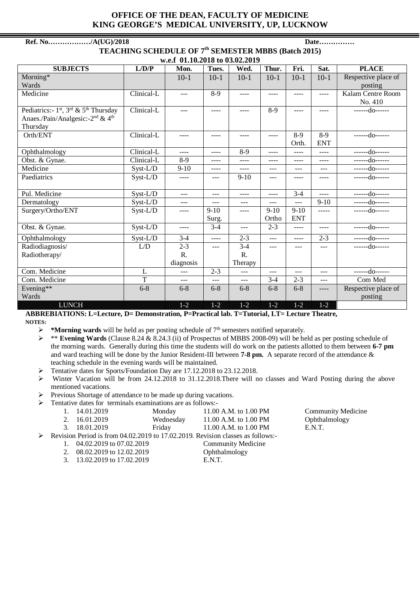## **OFFICE OF THE DEAN, FACULTY OF MEDICINE KING GEORGE'S MEDICAL UNIVERSITY, UP, LUCKNOW**

## **Ref. No………………/A(UG)/2018 Date…………… TEACHING SCHEDULE OF 7th SEMESTER MBBS (Batch 2015) w.e.f 01.10.2018 to 03.02.2019 SUBJECTS L/D/P Mon. Tues. Wed. Thur. Fri. Sat. PLACE** Morning\* Wards 10-1 10-1 10-1 10-1 10-1 10-1 Respective place of posting Medicine Clinical-L --- 8-9 ---- --- --- | ---- | Adlam Centre Room No. 410 Pediatrics:-  $1^{st}$ ,  $3^{rd}$  &  $5^{th}$  Thursday Anaes./Pain/Analgesic:-2nd & 4th Thursday  $\boxed{\text{ Clinical-L}}$  --- - --- - ---- 8-9 ---- - ---- -------do------Orth/ENT | Clinical-L | ---- | ---- | ---- | ---- | 8-9 Orth. 8-9 ENT ------do------ Ophthalmology Clinical-L ---- ---- 8-9 ---- ---- ---- ------do------ Obst. & Gynae. Clinical-L 8-9 ---- ---- ---- ---- ---- ------do------ Medicine Syst-L/D 9-10 ---- ---- --- --- --- ------do------ Paediatrics Syst-L/D ---- --- 9-10 --- ---- ---- ------do------

Pul. Medicine | Syst-L/D | --- | ---- | ---- | 3-4 | ----- | ------do------Dermatology Syst-L/D --- --- --- --- --- 9-10 ------do------

Obst. & Gynae. Syst-L/D ---- 3-4 --- 2-3 ---- ---- ------do------Ophthalmology Syst-L/D 3-4 ---- 2-3 --- ---- 2-3 ------do------

Com. Medicine  $L = \begin{vmatrix} L & 1 & -1 \\ 2 & -3 & -1 \\ 3 & -1 & -1 \end{vmatrix}$  ---  $\begin{vmatrix} -1 & -1 & -1 \\ -1 & -1 & -1 \\ 3 & -1 & -1 \end{vmatrix}$  --------do------Com. Medicine  $T = \begin{vmatrix} -1 & -1 & -1 \\ 1 & -1 & -1 \end{vmatrix}$  ---  $3-4$   $2-3$  --- Com Med

Surg.

 $- -$  3-4

R. Therapy

---- 9-10

Ortho

6-8 6-8 6-8 6-8 6-8 6-8 6-8 ---- Respective place of

9-10 ENT  $\overline{\phantom{a} \phantom{a}}$ 

posting

--- --- --- ------do------

**ABBREBIATIONS: L=Lecture, D= Demonstration, P=Practical lab. T=Tutorial, LT= Lecture Theatre, NOTES:** 

LUNCH 1-2 1-2 1-2 1-2 1-2 1-2

R. diagnosis

**★ \*Morning wards** will be held as per posting schedule of 7<sup>th</sup> semesters notified separately.<br>★ \* **Evening Wards** (Clause 8.24 & 8.24.3 (ii) of Prospectus of MBBS 2008-09) will be he

 $L/D$  2-3

- \*\* **Evening Wards** (Clause 8.24 & 8.24.3 (ii) of Prospectus of MBBS 2008-09) will be held as per posting schedule of the morning wards. Generally during this time the students will do work on the patients allotted to them between **6-7 pm** and ward teaching will be done by the Junior Resident-III between **7-8 pm.** A separate record of the attendance & teaching schedule in the evening wards will be maintained.
- Tentative dates for Sports/Foundation Day are 17.12.2018 to 23.12.2018.
- Winter Vacation will be from 24.12.2018 to 31.12.2018.There will no classes and Ward Posting during the above mentioned vacations.
- $\triangleright$  Previous Shortage of attendance to be made up during vacations.
- Tentative dates for terminals examinations are as follows:-

Surgery/Ortho/ENT Syst-L/D ---- 9-10

Radiodiagnosis/ Radiotherapy/

Evening\*\* Wards

|   | 1. 14.01.2019                                                                     | Monday    | 11.00 A.M. to 1.00 PM     | <b>Community Medicine</b> |  |  |  |  |
|---|-----------------------------------------------------------------------------------|-----------|---------------------------|---------------------------|--|--|--|--|
|   | 2. 16.01.2019                                                                     | Wednesday | 11.00 A.M. to 1.00 PM     | Ophthalmology             |  |  |  |  |
|   | 3. 18.01.2019                                                                     | Friday    | 11.00 A.M. to 1.00 PM     | E.N.T.                    |  |  |  |  |
| ≻ | Revision Period is from $04.02.2019$ to 17.02.2019. Revision classes as follows:- |           |                           |                           |  |  |  |  |
|   | 04.02.2019 to 07.02.2019<br>2. 08.02.2019 to 12.02.2019                           |           | <b>Community Medicine</b> |                           |  |  |  |  |
|   |                                                                                   |           | Ophthalmology             |                           |  |  |  |  |

- 3. 13.02.2019 to 17.02.2019 E.N.T.
- 
-